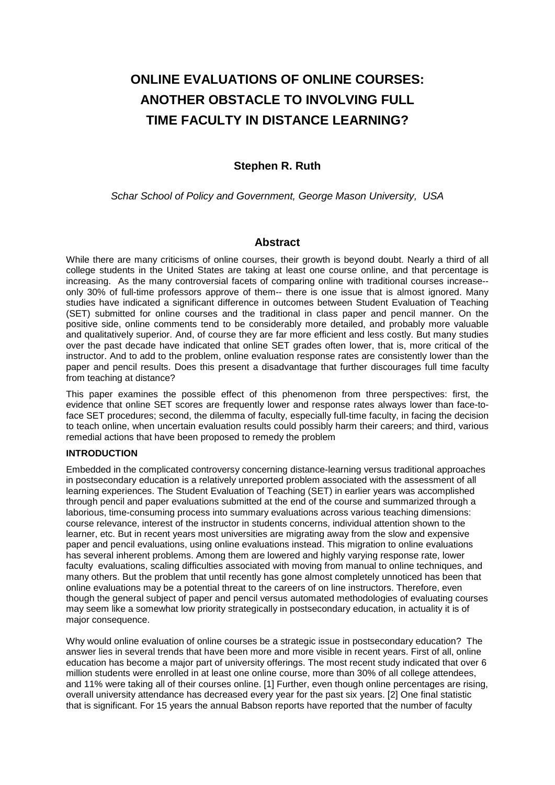# **ONLINE EVALUATIONS OF ONLINE COURSES: ANOTHER OBSTACLE TO INVOLVING FULL TIME FACULTY IN DISTANCE LEARNING?**

# **Stephen R. Ruth**

*Schar School of Policy and Government, George Mason University, USA*

#### **Abstract**

While there are many criticisms of online courses, their growth is beyond doubt. Nearly a third of all college students in the United States are taking at least one course online, and that percentage is increasing. As the many controversial facets of comparing online with traditional courses increase- only 30% of full-time professors approve of them-- there is one issue that is almost ignored. Many studies have indicated a significant difference in outcomes between Student Evaluation of Teaching (SET) submitted for online courses and the traditional in class paper and pencil manner. On the positive side, online comments tend to be considerably more detailed, and probably more valuable and qualitatively superior. And, of course they are far more efficient and less costly. But many studies over the past decade have indicated that online SET grades often lower, that is, more critical of the instructor. And to add to the problem, online evaluation response rates are consistently lower than the paper and pencil results. Does this present a disadvantage that further discourages full time faculty from teaching at distance?

This paper examines the possible effect of this phenomenon from three perspectives: first, the evidence that online SET scores are frequently lower and response rates always lower than face-toface SET procedures; second, the dilemma of faculty, especially full-time faculty, in facing the decision to teach online, when uncertain evaluation results could possibly harm their careers; and third, various remedial actions that have been proposed to remedy the problem

#### **INTRODUCTION**

Embedded in the complicated controversy concerning distance-learning versus traditional approaches in postsecondary education is a relatively unreported problem associated with the assessment of all learning experiences. The Student Evaluation of Teaching (SET) in earlier years was accomplished through pencil and paper evaluations submitted at the end of the course and summarized through a laborious, time-consuming process into summary evaluations across various teaching dimensions: course relevance, interest of the instructor in students concerns, individual attention shown to the learner, etc. But in recent years most universities are migrating away from the slow and expensive paper and pencil evaluations, using online evaluations instead. This migration to online evaluations has several inherent problems. Among them are lowered and highly varying response rate, lower faculty evaluations, scaling difficulties associated with moving from manual to online techniques, and many others. But the problem that until recently has gone almost completely unnoticed has been that online evaluations may be a potential threat to the careers of on line instructors. Therefore, even though the general subject of paper and pencil versus automated methodologies of evaluating courses may seem like a somewhat low priority strategically in postsecondary education, in actuality it is of major consequence.

Why would online evaluation of online courses be a strategic issue in postsecondary education? The answer lies in several trends that have been more and more visible in recent years. First of all, online education has become a major part of university offerings. The most recent study indicated that over 6 million students were enrolled in at least one online course, more than 30% of all college attendees, and 11% were taking all of their courses online. [1] Further, even though online percentages are rising, overall university attendance has decreased every year for the past six years. [2] One final statistic that is significant. For 15 years the annual Babson reports have reported that the number of faculty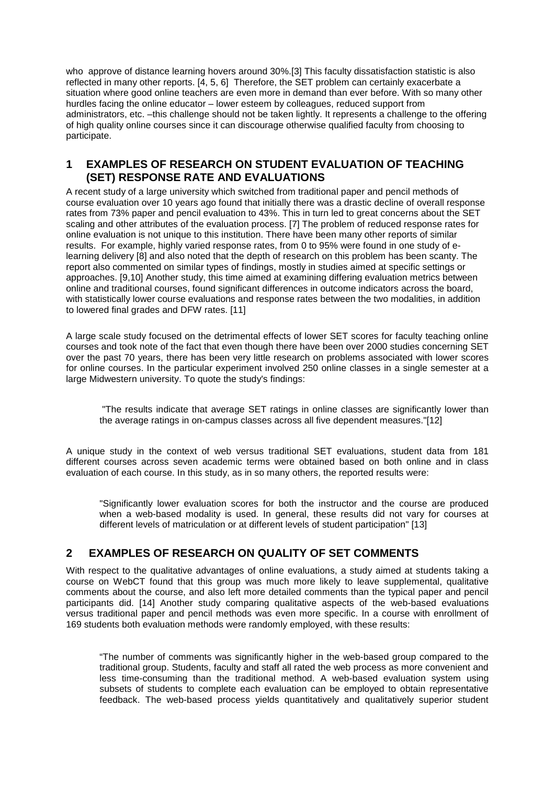who approve of distance learning hovers around 30%.[3] This faculty dissatisfaction statistic is also reflected in many other reports. [4, 5, 6] Therefore, the SET problem can certainly exacerbate a situation where good online teachers are even more in demand than ever before. With so many other hurdles facing the online educator – lower esteem by colleagues, reduced support from administrators, etc. –this challenge should not be taken lightly. It represents a challenge to the offering of high quality online courses since it can discourage otherwise qualified faculty from choosing to participate.

#### **1 EXAMPLES OF RESEARCH ON STUDENT EVALUATION OF TEACHING (SET) RESPONSE RATE AND EVALUATIONS**

A recent study of a large university which switched from traditional paper and pencil methods of course evaluation over 10 years ago found that initially there was a drastic decline of overall response rates from 73% paper and pencil evaluation to 43%. This in turn led to great concerns about the SET scaling and other attributes of the evaluation process. [7] The problem of reduced response rates for online evaluation is not unique to this institution. There have been many other reports of similar results. For example, highly varied response rates, from 0 to 95% were found in one study of elearning delivery [8] and also noted that the depth of research on this problem has been scanty. The report also commented on similar types of findings, mostly in studies aimed at specific settings or approaches. [9,10] Another study, this time aimed at examining differing evaluation metrics between online and traditional courses, found significant differences in outcome indicators across the board, with statistically lower course evaluations and response rates between the two modalities, in addition to lowered final grades and DFW rates. [11]

A large scale study focused on the detrimental effects of lower SET scores for faculty teaching online courses and took note of the fact that even though there have been over 2000 studies concerning SET over the past 70 years, there has been very little research on problems associated with lower scores for online courses. In the particular experiment involved 250 online classes in a single semester at a large Midwestern university. To quote the study's findings:

"The results indicate that average SET ratings in online classes are significantly lower than the average ratings in on-campus classes across all five dependent measures."[12]

A unique study in the context of web versus traditional SET evaluations, student data from 181 different courses across seven academic terms were obtained based on both online and in class evaluation of each course. In this study, as in so many others, the reported results were:

"Significantly lower evaluation scores for both the instructor and the course are produced when a web-based modality is used. In general, these results did not vary for courses at different levels of matriculation or at different levels of student participation" [13]

## **2 EXAMPLES OF RESEARCH ON QUALITY OF SET COMMENTS**

With respect to the qualitative advantages of online evaluations, a study aimed at students taking a course on WebCT found that this group was much more likely to leave supplemental, qualitative comments about the course, and also left more detailed comments than the typical paper and pencil participants did. [14] Another study comparing qualitative aspects of the web-based evaluations versus traditional paper and pencil methods was even more specific. In a course with enrollment of 169 students both evaluation methods were randomly employed, with these results:

"The number of comments was significantly higher in the web-based group compared to the traditional group. Students, faculty and staff all rated the web process as more convenient and less time-consuming than the traditional method. A web-based evaluation system using subsets of students to complete each evaluation can be employed to obtain representative feedback. The web-based process yields quantitatively and qualitatively superior student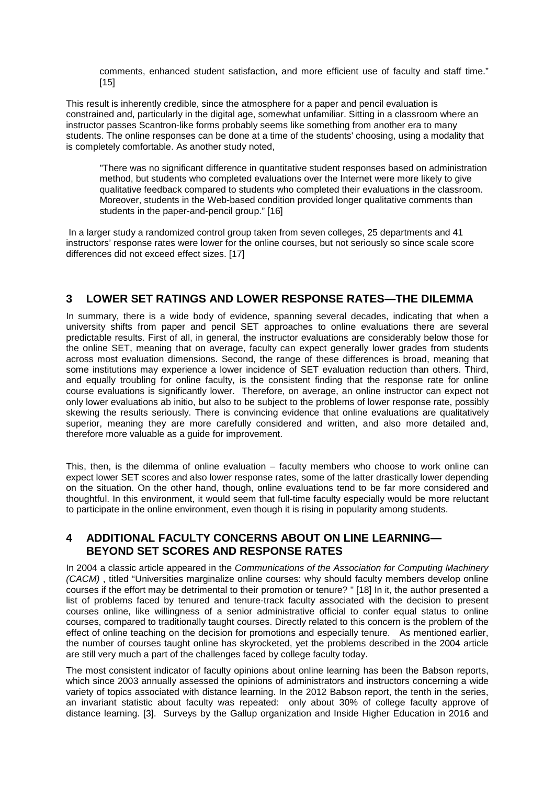comments, enhanced student satisfaction, and more efficient use of faculty and staff time." [15]

This result is inherently credible, since the atmosphere for a paper and pencil evaluation is constrained and, particularly in the digital age, somewhat unfamiliar. Sitting in a classroom where an instructor passes Scantron-like forms probably seems like something from another era to many students. The online responses can be done at a time of the students' choosing, using a modality that is completely comfortable. As another study noted,

"There was no significant difference in quantitative student responses based on administration method, but students who completed evaluations over the Internet were more likely to give qualitative feedback compared to students who completed their evaluations in the classroom. Moreover, students in the Web-based condition provided longer qualitative comments than students in the paper-and-pencil group." [16]

In a larger study a randomized control group taken from seven colleges, 25 departments and 41 instructors' response rates were lower for the online courses, but not seriously so since scale score differences did not exceed effect sizes. [17]

#### **3 LOWER SET RATINGS AND LOWER RESPONSE RATES—THE DILEMMA**

In summary, there is a wide body of evidence, spanning several decades, indicating that when a university shifts from paper and pencil SET approaches to online evaluations there are several predictable results. First of all, in general, the instructor evaluations are considerably below those for the online SET, meaning that on average, faculty can expect generally lower grades from students across most evaluation dimensions. Second, the range of these differences is broad, meaning that some institutions may experience a lower incidence of SET evaluation reduction than others. Third, and equally troubling for online faculty, is the consistent finding that the response rate for online course evaluations is significantly lower. Therefore, on average, an online instructor can expect not only lower evaluations ab initio, but also to be subject to the problems of lower response rate, possibly skewing the results seriously. There is convincing evidence that online evaluations are qualitatively superior, meaning they are more carefully considered and written, and also more detailed and, therefore more valuable as a guide for improvement.

This, then, is the dilemma of online evaluation – faculty members who choose to work online can expect lower SET scores and also lower response rates, some of the latter drastically lower depending on the situation. On the other hand, though, online evaluations tend to be far more considered and thoughtful. In this environment, it would seem that full-time faculty especially would be more reluctant to participate in the online environment, even though it is rising in popularity among students.

#### **4 ADDITIONAL FACULTY CONCERNS ABOUT ON LINE LEARNING— BEYOND SET SCORES AND RESPONSE RATES**

In 2004 a classic article appeared in the *Communications of the Association for Computing Machinery (CACM)* , titled "Universities marginalize online courses: why should faculty members develop online courses if the effort may be detrimental to their promotion or tenure? " [18] In it, the author presented a list of problems faced by tenured and tenure-track faculty associated with the decision to present courses online, like willingness of a senior administrative official to confer equal status to online courses, compared to traditionally taught courses. Directly related to this concern is the problem of the effect of online teaching on the decision for promotions and especially tenure. As mentioned earlier, the number of courses taught online has skyrocketed, yet the problems described in the 2004 article are still very much a part of the challenges faced by college faculty today.

The most consistent indicator of faculty opinions about online learning has been the Babson reports, which since 2003 annually assessed the opinions of administrators and instructors concerning a wide variety of topics associated with distance learning. In the 2012 Babson report, the tenth in the series, an invariant statistic about faculty was repeated: only about 30% of college faculty approve of distance learning. [3]. Surveys by the Gallup organization and Inside Higher Education in 2016 and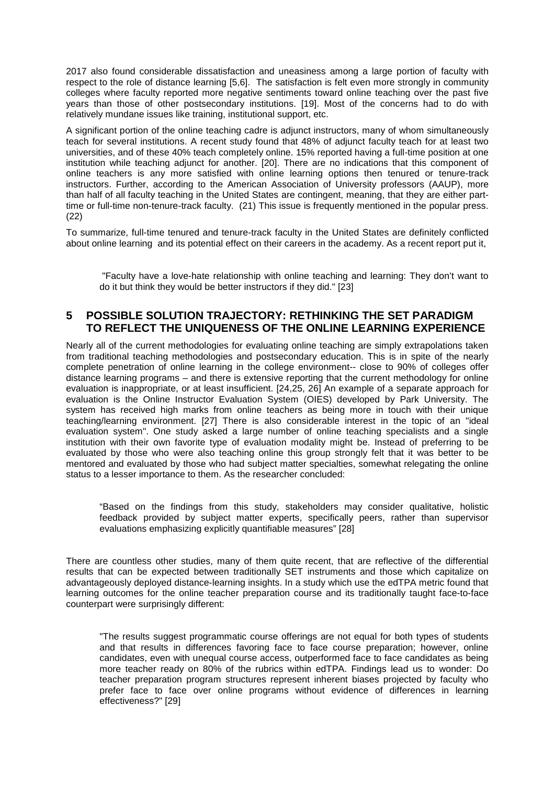2017 also found considerable dissatisfaction and uneasiness among a large portion of faculty with respect to the role of distance learning [5,6]. The satisfaction is felt even more strongly in community colleges where faculty reported more negative sentiments toward online teaching over the past five years than those of other postsecondary institutions. [19]. Most of the concerns had to do with relatively mundane issues like training, institutional support, etc.

A significant portion of the online teaching cadre is adjunct instructors, many of whom simultaneously teach for several institutions. A recent study found that 48% of adjunct faculty teach for at least two universities, and of these 40% teach completely online. 15% reported having a full-time position at one institution while teaching adjunct for another. [20]. There are no indications that this component of online teachers is any more satisfied with online learning options then tenured or tenure-track instructors. Further, according to the American Association of University professors (AAUP), more than half of all faculty teaching in the United States are contingent, meaning, that they are either parttime or full-time non-tenure-track faculty. (21) This issue is frequently mentioned in the popular press. (22)

To summarize, full-time tenured and tenure-track faculty in the United States are definitely conflicted about online learning and its potential effect on their careers in the academy. As a recent report put it,

"Faculty have a love-hate relationship with online teaching and learning: They don't want to do it but think they would be better instructors if they did." [23]

#### **5 POSSIBLE SOLUTION TRAJECTORY: RETHINKING THE SET PARADIGM TO REFLECT THE UNIQUENESS OF THE ONLINE LEARNING EXPERIENCE**

Nearly all of the current methodologies for evaluating online teaching are simply extrapolations taken from traditional teaching methodologies and postsecondary education. This is in spite of the nearly complete penetration of online learning in the college environment-- close to 90% of colleges offer distance learning programs – and there is extensive reporting that the current methodology for online evaluation is inappropriate, or at least insufficient. [24,25, 26] An example of a separate approach for evaluation is the Online Instructor Evaluation System (OIES) developed by Park University. The system has received high marks from online teachers as being more in touch with their unique teaching/learning environment. [27] There is also considerable interest in the topic of an "ideal evaluation system". One study asked a large number of online teaching specialists and a single institution with their own favorite type of evaluation modality might be. Instead of preferring to be evaluated by those who were also teaching online this group strongly felt that it was better to be mentored and evaluated by those who had subject matter specialties, somewhat relegating the online status to a lesser importance to them. As the researcher concluded:

"Based on the findings from this study, stakeholders may consider qualitative, holistic feedback provided by subject matter experts, specifically peers, rather than supervisor evaluations emphasizing explicitly quantifiable measures" [28]

There are countless other studies, many of them quite recent, that are reflective of the differential results that can be expected between traditionally SET instruments and those which capitalize on advantageously deployed distance-learning insights. In a study which use the edTPA metric found that learning outcomes for the online teacher preparation course and its traditionally taught face-to-face counterpart were surprisingly different:

"The results suggest programmatic course offerings are not equal for both types of students and that results in differences favoring face to face course preparation; however, online candidates, even with unequal course access, outperformed face to face candidates as being more teacher ready on 80% of the rubrics within edTPA. Findings lead us to wonder: Do teacher preparation program structures represent inherent biases projected by faculty who prefer face to face over online programs without evidence of differences in learning effectiveness?" [29]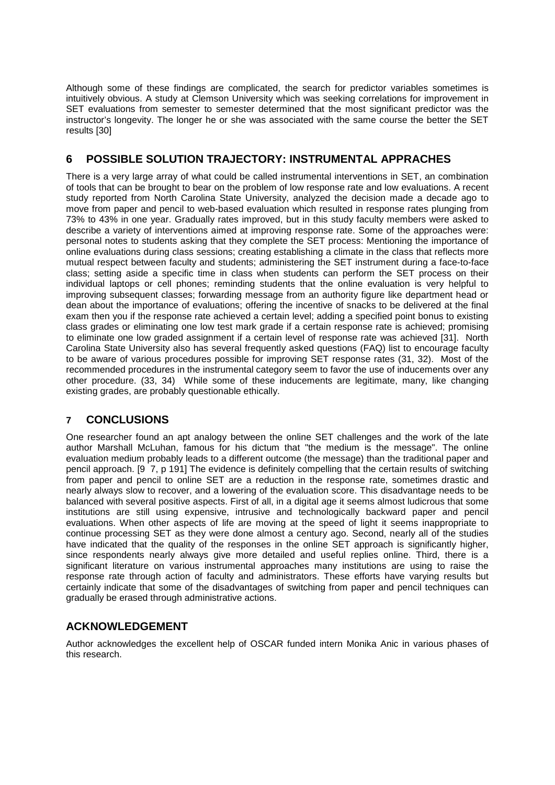Although some of these findings are complicated, the search for predictor variables sometimes is intuitively obvious. A study at Clemson University which was seeking correlations for improvement in SET evaluations from semester to semester determined that the most significant predictor was the instructor's longevity. The longer he or she was associated with the same course the better the SET results [30]

# **6 POSSIBLE SOLUTION TRAJECTORY: INSTRUMENTAL APPRACHES**

There is a very large array of what could be called instrumental interventions in SET, an combination of tools that can be brought to bear on the problem of low response rate and low evaluations. A recent study reported from North Carolina State University, analyzed the decision made a decade ago to move from paper and pencil to web-based evaluation which resulted in response rates plunging from 73% to 43% in one year. Gradually rates improved, but in this study faculty members were asked to describe a variety of interventions aimed at improving response rate. Some of the approaches were: personal notes to students asking that they complete the SET process: Mentioning the importance of online evaluations during class sessions; creating establishing a climate in the class that reflects more mutual respect between faculty and students; administering the SET instrument during a face-to-face class; setting aside a specific time in class when students can perform the SET process on their individual laptops or cell phones; reminding students that the online evaluation is very helpful to improving subsequent classes; forwarding message from an authority figure like department head or dean about the importance of evaluations; offering the incentive of snacks to be delivered at the final exam then you if the response rate achieved a certain level; adding a specified point bonus to existing class grades or eliminating one low test mark grade if a certain response rate is achieved; promising to eliminate one low graded assignment if a certain level of response rate was achieved [31]. North Carolina State University also has several frequently asked questions (FAQ) list to encourage faculty to be aware of various procedures possible for improving SET response rates (31, 32). Most of the recommended procedures in the instrumental category seem to favor the use of inducements over any other procedure. (33, 34) While some of these inducements are legitimate, many, like changing existing grades, are probably questionable ethically.

## **7 CONCLUSIONS**

One researcher found an apt analogy between the online SET challenges and the work of the late author Marshall McLuhan, famous for his dictum that "the medium is the message". The online evaluation medium probably leads to a different outcome (the message) than the traditional paper and pencil approach. [9 7, p 191] The evidence is definitely compelling that the certain results of switching from paper and pencil to online SET are a reduction in the response rate, sometimes drastic and nearly always slow to recover, and a lowering of the evaluation score. This disadvantage needs to be balanced with several positive aspects. First of all, in a digital age it seems almost ludicrous that some institutions are still using expensive, intrusive and technologically backward paper and pencil evaluations. When other aspects of life are moving at the speed of light it seems inappropriate to continue processing SET as they were done almost a century ago. Second, nearly all of the studies have indicated that the quality of the responses in the online SET approach is significantly higher, since respondents nearly always give more detailed and useful replies online. Third, there is a significant literature on various instrumental approaches many institutions are using to raise the response rate through action of faculty and administrators. These efforts have varying results but certainly indicate that some of the disadvantages of switching from paper and pencil techniques can gradually be erased through administrative actions.

#### **ACKNOWLEDGEMENT**

Author acknowledges the excellent help of OSCAR funded intern Monika Anic in various phases of this research.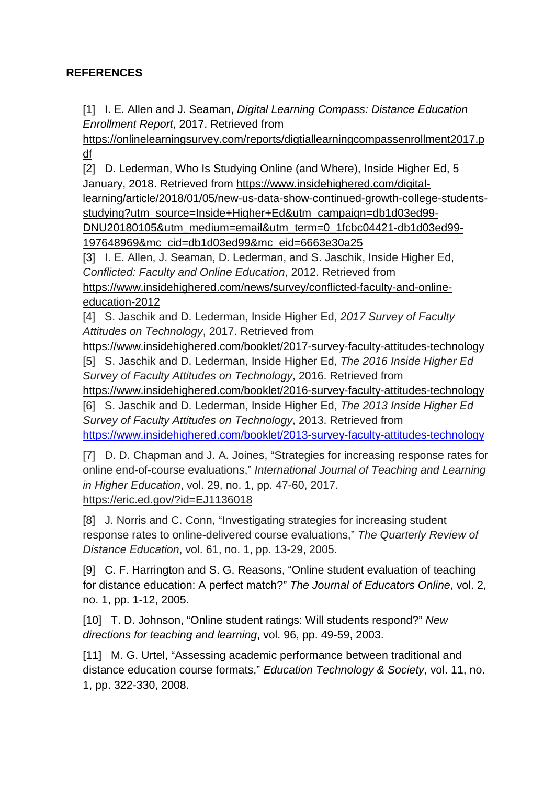# **REFERENCES**

[1] I. E. Allen and J. Seaman, *Digital Learning Compass: Distance Education Enrollment Report*, 2017. Retrieved fro[m](https://onlinelearningsurvey.com/reports/digtiallearningcompassenrollment2017.pdf)

[https://onlinelearningsurvey.com/reports/digtiallearningcompassenrollment2017.p](https://onlinelearningsurvey.com/reports/digtiallearningcompassenrollment2017.pdf) [df](https://onlinelearningsurvey.com/reports/digtiallearningcompassenrollment2017.pdf)

[2] D. Lederman, Who Is Studying Online (and Where), Inside Higher Ed, 5 January, 2018. Retrieved fro[m](https://www.insidehighered.com/digital-learning/article/2018/01/05/new-us-data-show-continued-growth-college-students-studying?utm_source=Inside+Higher+Ed&utm_campaign=db1d03ed99-DNU20180105&utm_medium=email&utm_term=0_1fcbc04421-db1d03ed99-197648969&mc_cid=db1d03ed99&mc_eid=6663e30a25) [https://www.insidehighered.com/digital-](https://www.insidehighered.com/digital-learning/article/2018/01/05/new-us-data-show-continued-growth-college-students-studying?utm_source=Inside+Higher+Ed&utm_campaign=db1d03ed99-DNU20180105&utm_medium=email&utm_term=0_1fcbc04421-db1d03ed99-197648969&mc_cid=db1d03ed99&mc_eid=6663e30a25)

[learning/article/2018/01/05/new-us-data-show-continued-growth-college-students](https://www.insidehighered.com/digital-learning/article/2018/01/05/new-us-data-show-continued-growth-college-students-studying?utm_source=Inside+Higher+Ed&utm_campaign=db1d03ed99-DNU20180105&utm_medium=email&utm_term=0_1fcbc04421-db1d03ed99-197648969&mc_cid=db1d03ed99&mc_eid=6663e30a25)[studying?utm\\_source=Inside+Higher+Ed&utm\\_campaign=db1d03ed99-](https://www.insidehighered.com/digital-learning/article/2018/01/05/new-us-data-show-continued-growth-college-students-studying?utm_source=Inside+Higher+Ed&utm_campaign=db1d03ed99-DNU20180105&utm_medium=email&utm_term=0_1fcbc04421-db1d03ed99-197648969&mc_cid=db1d03ed99&mc_eid=6663e30a25)

[DNU20180105&utm\\_medium=email&utm\\_term=0\\_1fcbc04421-db1d03ed99-](https://www.insidehighered.com/digital-learning/article/2018/01/05/new-us-data-show-continued-growth-college-students-studying?utm_source=Inside+Higher+Ed&utm_campaign=db1d03ed99-DNU20180105&utm_medium=email&utm_term=0_1fcbc04421-db1d03ed99-197648969&mc_cid=db1d03ed99&mc_eid=6663e30a25) [197648969&mc\\_cid=db1d03ed99&mc\\_eid=6663e30a25](https://www.insidehighered.com/digital-learning/article/2018/01/05/new-us-data-show-continued-growth-college-students-studying?utm_source=Inside+Higher+Ed&utm_campaign=db1d03ed99-DNU20180105&utm_medium=email&utm_term=0_1fcbc04421-db1d03ed99-197648969&mc_cid=db1d03ed99&mc_eid=6663e30a25)

[3] I. E. Allen, J. Seaman, D. Lederman, and S. Jaschik, Inside Higher Ed, *Conflicted: Faculty and Online Education*, 2012. Retrieved fro[m](https://www.insidehighered.com/news/survey/conflicted-faculty-and-online-education-2012)

[https://www.insidehighered.com/news/survey/conflicted-faculty-and-online](https://www.insidehighered.com/news/survey/conflicted-faculty-and-online-education-2012)[education-2012](https://www.insidehighered.com/news/survey/conflicted-faculty-and-online-education-2012)

[4] S. Jaschik and D. Lederman, Inside Higher Ed, *2017 Survey of Faculty Attitudes on Technology*, 2017. Retrieved from

<https://www.insidehighered.com/booklet/2017-survey-faculty-attitudes-technology>

[5] S. Jaschik and D. Lederman, Inside Higher Ed, *The 2016 Inside Higher Ed Survey of Faculty Attitudes on Technology*, 2016. Retrieved fro[m](https://www.insidehighered.com/booklet/2016-survey-faculty-attitudes-technology)

<https://www.insidehighered.com/booklet/2016-survey-faculty-attitudes-technology>

[6] S. Jaschik and D. Lederman, Inside Higher Ed, *The 2013 Inside Higher Ed Survey of Faculty Attitudes on Technology*, 2013. Retrieved fro[m](https://www.insidehighered.com/booklet/2016-survey-faculty-attitudes-technology) <https://www.insidehighered.com/booklet/2013-survey-faculty-attitudes-technology>

[7] D. D. Chapman and J. A. Joines, "Strategies for increasing response rates for online end-of-course evaluations," *International Journal of Teaching and Learning in Higher Education*, vol. 29, no. 1, pp. 47-60, 2017. https://eric.ed.gov/?id=EJ1136018

[8] J. Norris and C. Conn, "Investigating strategies for increasing student response rates to online-delivered course evaluations," *The Quarterly Review of Distance Education*, vol. 61, no. 1, pp. 13-29, 2005.

[9] C. F. Harrington and S. G. Reasons, "Online student evaluation of teaching for distance education: A perfect match?" *The Journal of Educators Online*, vol. 2, no. 1, pp. 1-12, 2005.

[10] T. D. Johnson, "Online student ratings: Will students respond?" *New directions for teaching and learning*, vol. 96, pp. 49-59, 2003.

[11] M. G. Urtel, "Assessing academic performance between traditional and distance education course formats," *Education Technology & Society*, vol. 11, no. 1, pp. 322-330, 2008.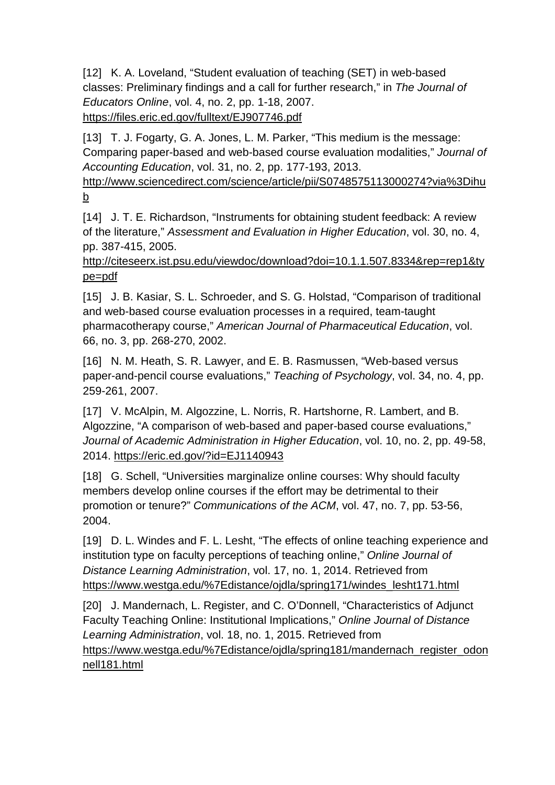[12] K. A. Loveland, "Student evaluation of teaching (SET) in web-based classes: Preliminary findings and a call for further research," in *The Journal of Educators Online*, vol. 4, no. 2, pp. 1-18, 2007[.](http://www.thejeo.com/Volume4Number2/Loveland) https://files.eric.ed.gov/fulltext/EJ907746.pdf

[13] T. J. Fogarty, G. A. Jones, L. M. Parker, "This medium is the message: Comparing paper-based and web-based course evaluation modalities," *Journal of Accounting Education*, vol. 31, no. 2, pp. 177-193, 2013[.](http://www.sciencedirect.com/science/article/pii/S0748575113000274?via%3Dihub)

[http://www.sciencedirect.com/science/article/pii/S0748575113000274?via%3Dihu](http://www.sciencedirect.com/science/article/pii/S0748575113000274?via%3Dihub) [b](http://www.sciencedirect.com/science/article/pii/S0748575113000274?via%3Dihub)

[14] J. T. E. Richardson, "Instruments for obtaining student feedback: A review of the literature," *Assessment and Evaluation in Higher Education*, vol. 30, no. 4, pp. 387-415, 2005[.](http://citeseerx.ist.psu.edu/viewdoc/download?doi=10.1.1.507.8334&rep=rep1&type=pdf)

[http://citeseerx.ist.psu.edu/viewdoc/download?doi=10.1.1.507.8334&rep=rep1&ty](http://citeseerx.ist.psu.edu/viewdoc/download?doi=10.1.1.507.8334&rep=rep1&type=pdf) [pe=pdf](http://citeseerx.ist.psu.edu/viewdoc/download?doi=10.1.1.507.8334&rep=rep1&type=pdf)

[15] J. B. Kasiar, S. L. Schroeder, and S. G. Holstad, "Comparison of traditional and web-based course evaluation processes in a required, team-taught pharmacotherapy course," *American Journal of Pharmaceutical Education*, vol. 66, no. 3, pp. 268-270, 2002.

[16] N. M. Heath, S. R. Lawyer, and E. B. Rasmussen, "Web-based versus paper-and-pencil course evaluations," *Teaching of Psychology*, vol. 34, no. 4, pp. 259-261, 2007.

[17] V. McAlpin, M. Algozzine, L. Norris, R. Hartshorne, R. Lambert, and B. Algozzine, "A comparison of web-based and paper-based course evaluations," *Journal of Academic Administration in Higher Education*, vol. 10, no. 2, pp. 49-58, 2014. <https://eric.ed.gov/?id=EJ1140943>

[18] G. Schell, "Universities marginalize online courses: Why should faculty members develop online courses if the effort may be detrimental to their promotion or tenure?" *Communications of the ACM*, vol. 47, no. 7, pp. 53-56, 2004.

[19] D. L. Windes and F. L. Lesht, "The effects of online teaching experience and institution type on faculty perceptions of teaching online," *Online Journal of Distance Learning Administration*, vol. 17, no. 1, 2014. Retrieved fro[m](https://www.westga.edu/~distance/ojdla/spring171/windes_lesht171.html) [https://www.westga.edu/%7Edistance/ojdla/spring171/windes\\_lesht171.html](https://www.westga.edu/~distance/ojdla/spring171/windes_lesht171.html)

[20] J. Mandernach, L. Register, and C. O'Donnell, "Characteristics of Adjunct Faculty Teaching Online: Institutional Implications," *Online Journal of Distance Learning Administration*, vol. 18, no. 1, 2015. Retrieved fro[m](https://www.westga.edu/~distance/ojdla/spring181/mandernach_register_odonnell181.html) [https://www.westga.edu/%7Edistance/ojdla/spring181/mandernach\\_register\\_odon](https://www.westga.edu/~distance/ojdla/spring181/mandernach_register_odonnell181.html) [nell181.html](https://www.westga.edu/~distance/ojdla/spring181/mandernach_register_odonnell181.html)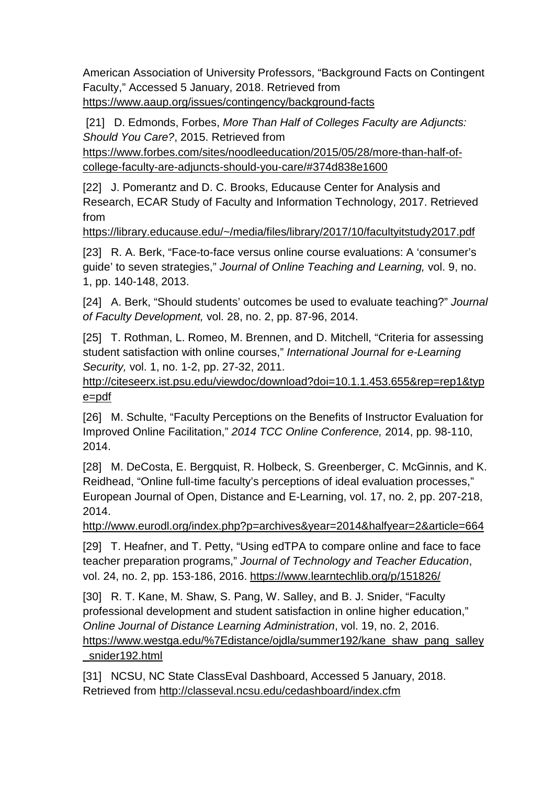American Association of University Professors, "Background Facts on Contingent Faculty," Accessed 5 January, 2018. Retrieved fro[m](https://www.aaup.org/issues/contingency/background-facts) <https://www.aaup.org/issues/contingency/background-facts>

[21] D. Edmonds, Forbes, *More Than Half of Colleges Faculty are Adjuncts: Should You Care?*, 2015. Retrieved fro[m](https://www.forbes.com/sites/noodleeducation/2015/05/28/more-than-half-of-college-faculty-are-adjuncts-should-you-care/#374d838e1600)

[https://www.forbes.com/sites/noodleeducation/2015/05/28/more-than-half-of](https://www.forbes.com/sites/noodleeducation/2015/05/28/more-than-half-of-college-faculty-are-adjuncts-should-you-care/#374d838e1600)[college-faculty-are-adjuncts-should-you-care/#374d838e1600](https://www.forbes.com/sites/noodleeducation/2015/05/28/more-than-half-of-college-faculty-are-adjuncts-should-you-care/#374d838e1600)

[22] J. Pomerantz and D. C. Brooks, Educause Center for Analysis and Research, ECAR Study of Faculty and Information Technology, 2017. Retrieved fro[m](https://library.educause.edu/~/media/files/library/2017/10/facultyitstudy2017.pdf)

<https://library.educause.edu/~/media/files/library/2017/10/facultyitstudy2017.pdf>

[23] R. A. Berk, "Face-to-face versus online course evaluations: A 'consumer's guide' to seven strategies," *Journal of Online Teaching and Learning,* vol. 9, no. 1, pp. 140-148, 2013.

[24] A. Berk, "Should students' outcomes be used to evaluate teaching?" *Journal of Faculty Development,* vol. 28, no. 2, pp. 87-96, 2014.

[25] T. Rothman, L. Romeo, M. Brennen, and D. Mitchell, "Criteria for assessing student satisfaction with online courses," *International Journal for e-Learning Security,* vol. 1, no. 1-2, pp. 27-32, 2011.

[http://citeseerx.ist.psu.edu/viewdoc/download?doi=10.1.1.453.655&rep=rep1&typ](http://citeseerx.ist.psu.edu/viewdoc/download?doi=10.1.1.453.655&rep=rep1&type=pdf) [e=pdf](http://citeseerx.ist.psu.edu/viewdoc/download?doi=10.1.1.453.655&rep=rep1&type=pdf)

[26] M. Schulte, "Faculty Perceptions on the Benefits of Instructor Evaluation for Improved Online Facilitation," *2014 TCC Online Conference,* 2014, pp. 98-110, 2014.

[28] M. DeCosta, E. Bergquist, R. Holbeck, S. Greenberger, C. McGinnis, and K. Reidhead, "Online full-time faculty's perceptions of ideal evaluation processes," European Journal of Open, Distance and E-Learning, vol. 17, no. 2, pp. 207-218, 2014.

<http://www.eurodl.org/index.php?p=archives&year=2014&halfyear=2&article=664>

[29] T. Heafner, and T. Petty, "Using edTPA to compare online and face to face teacher preparation programs," *Journal of Technology and Teacher Education*, vol. 24, no. 2, pp. 153-186, 2016. https://www.learntechlib.org/p/151826/

[30] R. T. Kane, M. Shaw, S. Pang, W. Salley, and B. J. Snider, "Faculty professional development and student satisfaction in online higher education," *Online Journal of Distance Learning Administration*, vol. 19, no. 2, 2016. [https://www.westga.edu/%7Edistance/ojdla/summer192/kane\\_shaw\\_pang\\_salley](https://www.westga.edu/~distance/ojdla/summer192/kane_shaw_pang_salley_snider192.html) [\\_snider192.html](https://www.westga.edu/~distance/ojdla/summer192/kane_shaw_pang_salley_snider192.html)

[31] NCSU, NC State ClassEval Dashboard, Accessed 5 January, 2018. Retrieved fro[m](http://classeval.ncsu.edu/cedashboard/index.cfm) <http://classeval.ncsu.edu/cedashboard/index.cfm>